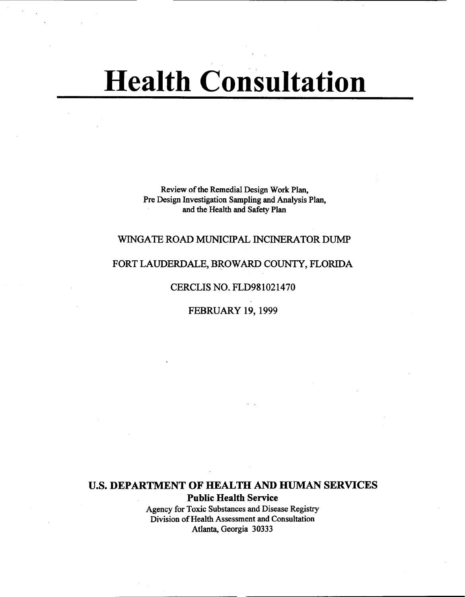# Health Consultation

Review of the Remedial Design Work Plan, Pre Design Investigation Sampling and Analysis Plan, and the Health and Safety Plan

## WINGATE ROAD MUNICIPAL INCINERATOR DUMP

#### FORT LAUDERDALE, BROWARD COUNTY, FLORIDA

#### CERCLIS NO. FLD981021470

FEBRUARY 19, 1999

U.S. DEPARTMENT OF HEALTH AND HUMAN SERVICES Public Health Service Agency for Toxic Substances and Disease Registry Division of Health Assessment and Consultation Atlanta, Georgia 30333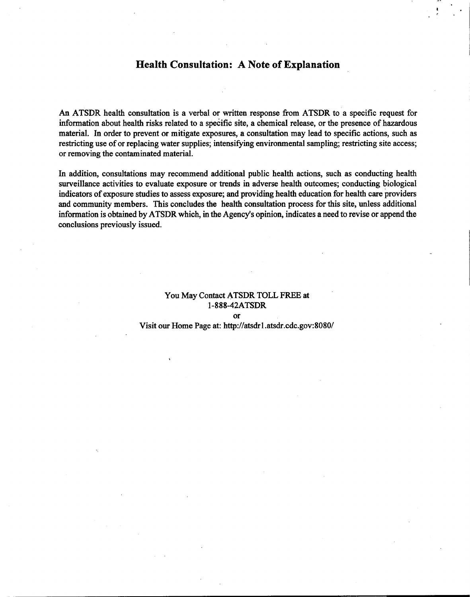#### Health Consultation: A Note of Explanation

 $\mathbf{I} = \{ \mathbf{I} \in \mathbb{R}^d \mid \mathbf{I} \in \mathbb{R}^d \}$ 

An ATSDR health consultation is a verbal or written response from ATSDR to a specific request for information about health risks related to a specific site, a chemical release, or the presence of hazardous material. In order to prevent or mitigate exposures, a consultation may lead to specific actions, such as restricting use of or replacing water supplies; intensifying environmental sampling; restricting site access; or removing the contaminated material.

In addition, consultations may recommend additional public health actions, such as conducting health surveillance activities to evaluate exposure or trends in adverse health outcomes; conducting biological indicators of exposure studies to assess exposure; and providing health education for health care providers and community members. This concludes the health consultation process for this site, unless additional information is obtained by A TSDR which, in the Agency's opinion, indicates a need to revise or append the conclusions previously issued.

## You May Contact ATSDR TOLL FREE at 1-888-42ATSDR

or

Visit our Home Page at: http://atsdrl.atsdr.cdc.gov:8080/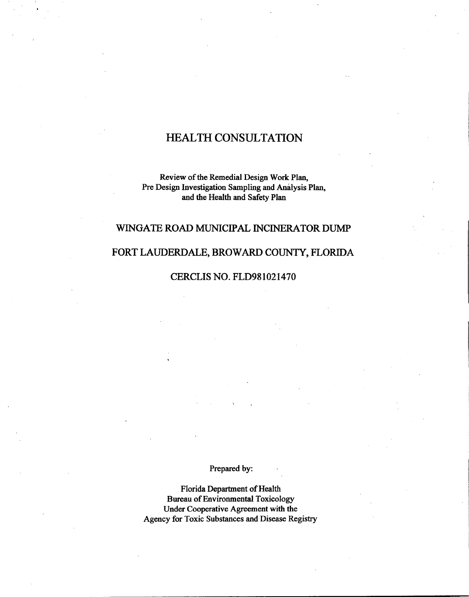# HEALTH CONSULTATION

.

-

Review of the Remedial Design Work Plan, Pre Design Investigation Sampling and Analysis Plan, and the Health and Safety Plan

#### WINGATE ROAD MUNICIPAL INCINERATOR DUMP

## FORT LAUDERDALE, BROW ARD COUNTY, FLORIDA

## CERCLIS NO. FLD981021470

.,

 $P_1$  is in the prepared by: it is in the prepared by: it is in the prepared by: it is in the prepared by: it is in the prepared by: it is in the prepared by: it is in the prepared by: it is in the prepared by: it is in t

'

Florida Department of Health Bureau of Environmental Toxicology Under Cooperative Agreement with the Agency for Toxic Substances and Disease Registry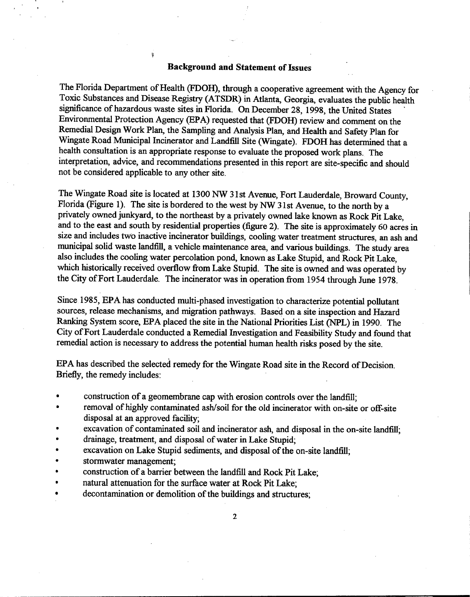## Background and Statement of Issues

.

The Florida Department of Health (FDOH), through a cooperative agreement with the Agency for Toxic Substances and Disease Registry (ATSDR) in Atlanta, Georgia, evaluates the public health significance of hazardous waste sites in Florida. On December 28, 1998, the United States' Environmental Protection Agency (EPA) requested that (FDOH) review and comment on the Remedial Design Work Plan, the Sampling and Analysis Plan, and Health and Safety Plan for Wingate Road Municipal Incinerator and Landfill Site (Wingate). FDOH has determined that a health consultation is an appropriate response to evaluate the proposed work plans. The interpretation, advice, and recommendations presented in this report are site-specific and should not be considered applicable to any other site.

The Wingate Road site is located at 1300 NW 31st Avenue, Fort Lauderdale, Broward County, Florida (Figure 1). The site is bordered to the west by NW 31st Avenue, to the north by a privately owned junkyard, to the northeast by a privately owned lake known as Rock Pit Lake, and to the east and south by residential properties (figure 2). The site is approximately 60 acres in size and includes two inactive incinerator buildings, cooling water treatment structures, an ash and municipal solid waste landfill, a vehicle maintenance area, and various buildings. The study area also includes the cooling water percolation pond, known as Lake Stupid, and Rock Pit Lake, which historically received overflow from Lake Stupid. The site is owned and was operated by the City of Fort Lauderdale. The incinerator was in operation from 1954 through June 1978.

Since 1985, EPA has conducted multi-phased investigation to characterize potential pollutant sources, release mechanisms, and migration pathways. Based on a site inspection and Hazard Ranking System score, EPA placed the site in the National Priorities List (NPL) in 1990. The City of Fort Lauderdale conducted a Remedial Investigation and Feasibility Study and found that remedial action is necessary to address the potential human health risks posed by the site.

I

-

EPA has described the selected remedy for the Wingate Road site in the Record of Decision. Briefly, the remedy includes:

- .construction of a geomembrane cap with erosion controls over the landfill;
- . removal of highly contaminated ash/soil for the old incinerator with on-site or off-site disposal at an approved facility;
- excavation of contaminated soil and incinerator ash, and disposal in the on-site landfill;
- .drainage, treatment, and disposal of water in Lake Stupid;
- excavation on Lake Stupid sediments, and disposal of the on-site landfill;
- .stormwater management;

,

- .construction of a barrier between the landfill and Rock Pit Lake;
- .natural attenuation for the surface water at Rock Pit Lake;
- .decontamination or demolition of the buildings and structures;

2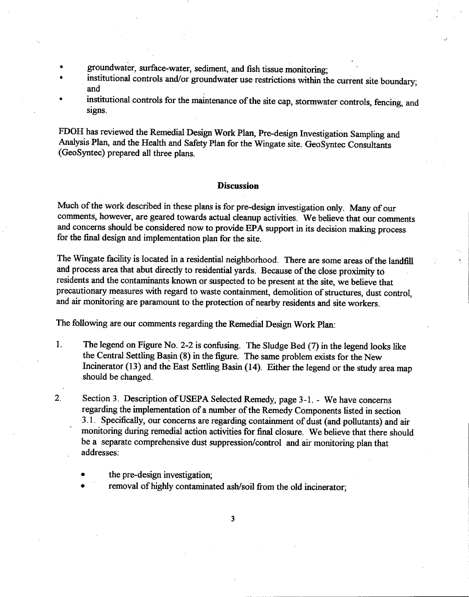- . • groundwater, surface-water, sediment, and fish tissue monitoring
- .institutional controls and/or groundwater use restrictions within the current site boundary; and

J

.institutional controls for the maintenance of the site cap, stormwater controls, fencing, and signs.

FDOH has reviewed the Remedial Design Work Plan, Pre-design Investigation Sampling and Analysis Plan, and the Health and Safety Plan for the Wingate site. GeoSyntec Consultants (GeoSyntec) prepared all three plans.

#### **Discussion**

Much of the work described in these plans is for pre-design investigation only. Many of our comments, however, are geared towards actual cleanup activities. We believe that our comments and concerns should be considered now to provide EPA support in its decision making process for the final design and implementation plan for the site.

The Wingate facility is located in a residential neighborhood. There are some areas of the landfill and process area that abut directly to residential yards. Because of the close proximity to residents and the contaminants known or suspected to be present at the site, we believe that precautionary measures with regard to waste containment, demolition of structures, dust control, and air monitoring are paramount to the protection of nearby residents and site workers.

The following are our comments regarding the Remedial Design Work Plan:

1. The legend on Figure No. 2-2 is confusing. The Sludge Bed (7) in the legend looks like the Central Settling Basin (8) in the figure. The same problem exists for the New Incinerator (13) and the East Settling Basin (14). Either the legend or the study area map should be changed.

2. Section 3. Description of USEPA Selected Remedy, page 3-1. - We have concerns regarding the implementation of a number of the Remedy Components listed in section 3 .1. Specifically, our concerns are regarding containment of dust (and pollutants) and air monitoring during remedial action activities for final closure. We believe that there should be a separate comprehensive dust suppression/control and air monitoring plan that addresses:

- .the pre-design investigation;
- removal of highly contaminated ash/soil from the old incinerator: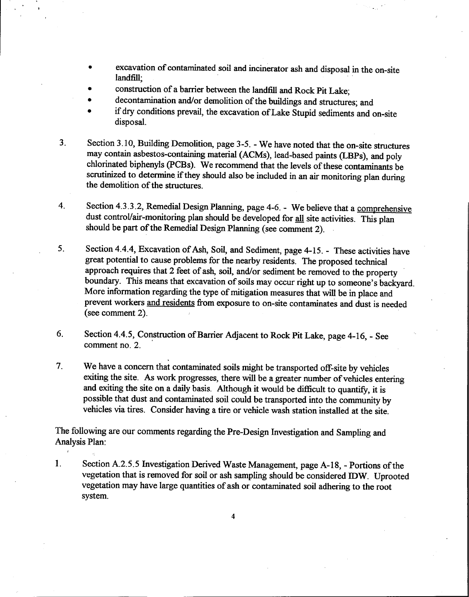- excavation of contaminated soil and incinerator ash and disposal in the on-site landfill;
- .construction of a barrier between the landfill and Rock Pit Lake;

.

- decontamination and/or demolition of the buildings and structures; and
- .if dry conditions prevail, the excavation of Lake Stupid sediments and on-site disposal.
- 3. Section 3.10, Building Demolition, page 3-5. -We have noted that the on-site structures may contain asbestos-containing material (ACMs), lead-based paints (LBPs), and poly chlorinated biphenyls (PCBs). We recommend that the levels of these contaminants be scrutinized to determine if they should also be included in an air monitoring plan during the demolition of the structures.
- 4. Section 4.3.3.2, Remedial Design Planning, page 4-6. We believe that a comprehensive dust control/air-monitoring plan should be developed for all site activities. This plan should be part of the Remedial Design Planning (see comment 2).
- 5. Section 4.4.4, Excavation of Ash, Soil, and Sediment, page 4-15. These activities have great potential to cause problems for the nearby residents. The proposed technical approach requires that 2 feet of ash, soil, and/or sediment be removed to the property boundary. This means that excavation of soils may occur right up to someone's backyard. More information regarding the type of mitigation measures that will be in place and prevent workers and residents from exposure to on-site contaminates and dust is needed (see comment 2).
- 6. Section 4.4.5, Construction of Barrier Adjacent to Rock Pit Lake, page 4-16, -See comment no. 2. '
- 7. We have a concern that contaminated soils might be transported off-site by vehicles exiting the site. As work progresses, there will be a greater number of vehicles entering and exiting the site on a daily basis. Although it would be difficult to quantify, it is possible that dust and contaminated soil could be transported into the community by vehicles via tires. Consider having a tire or vehicle wash station installed at the site.

The following are our comments regarding the Pre-Design Investigation and Sampling and Analysis Plan:

1. Section A.2.5.5 Investigation Derived Waste Management, page A-I8, -Portions of the vegetation that is removed for soil or ash sampling should be considered IDW. Uprooted vegetation may have large quantities of ash or contaminated soil adhering to the root system.

4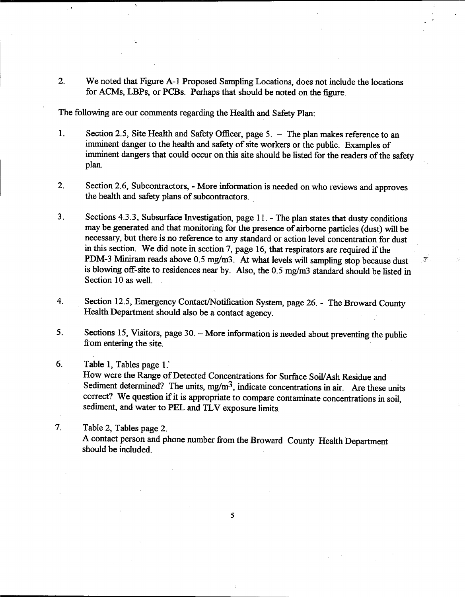We noted that Figure A-1 Proposed Sampling Locations, does not include the locations  $2.$ for ACMs, LBPs, or PCBs. Perhaps that should be noted on the figure.

The following are our comments regarding the Health and Safety Plan:

- $1<sub>1</sub>$ Section 2.5, Site Health and Safety Officer, page 5.  $-$  The plan makes reference to an imminent danger to the health and safety of site workers or the public. Examples of imminent dangers that could occur on this site should be listed for the readers of the safety plan.
- $2.$ Section 2.6, Subcontractors, - More information is needed on who reviews and approves the health and safety plans of subcontractors.
- $3<sub>1</sub>$ Sections 4.3.3, Subsurface Investigation, page 11. - The plan states that dusty conditions may be generated and that monitoring for the presence of airborne particles (dust) will be necessary, but there is no reference to any standard or action level concentration for dust in this section. We did note in section 7, page 16, that respirators are required if the PDM-3 Miniram reads above 0.5 mg/m3. At what levels will sampling stop because dust is blowing off-site to residences near by. Also, the 0.5 mg/m3 standard should be listed in Section 10 as well.

 $\ddot{\tilde{z}}$ 

- Section 12.5, Emergency Contact/Notification System, page 26. The Broward County  $\overline{4}$ . Health Department should also be a contact agency.
- $5<sub>1</sub>$ Sections 15, Visitors, page 30.  $-$  More information is needed about preventing the public from entering the site.
- 6. Table 1, Tables page 1. How were the Range of Detected Concentrations for Surface Soil/Ash Residue and Sediment determined? The units, mg/m<sup>3</sup>, indicate concentrations in air. Are these units correct? We question if it is appropriate to compare contaminate concentrations in soil, sediment, and water to PEL and TLV exposure limits.
- $7.$ Table 2, Tables page 2. A contact person and phone number from the Broward County Health Department should be included.

 $\overline{5}$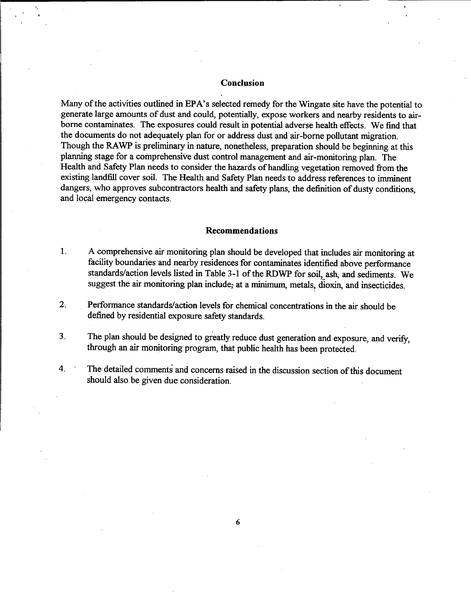#### Conclusion

.

.

and local emergency contacts. dangers, who approves subcontractors health and safety plans, the definition of dusty conditions, existing landfill cover soil. The Health and Safety Plan needs to address references to imminent Health and Safety Plan needs to consider the hazards of handling vegetation removed from the planning stage for a comprehensive dust control management and air-monitoring plan. The Though the RAWP is preliminary in nature, nonetheless, preparation should be beginning at this the documents do not adequately plan for or address dust and air-borne pollutant migration. borne contaminates. The exposures could result in potential adverse health effects. We find that generate large amounts of dust and could, potentially, expose workers and nearby residents to air-Many of the activities outlined in EPA's selected remedy for the Wingate site have the potential to

#### **Recommendations**

- suggest the air monitoring plan include, at a minimum, metals, dioxin, and insecticides. standards/action levels listed in Table 3-1 of the RDWP for soil, ash, and sediments. We facility boundaries and nearby residences for contaminates identified above performance 1. A comprehensive air monitoring plan should be developed that includes air monitoring at
- defined by residential exposure safety standards. 2. Performance standards/action levels for chemical concentrations in the air should be
- through an air monitoring program, that public health has been protected. 3. The plan should be designed to greatly reduce dust generation and exposure, and verify,
- The detailed comments and concerns raised in the discussion section of this document  $\overline{4}$ . should also be given due consideration.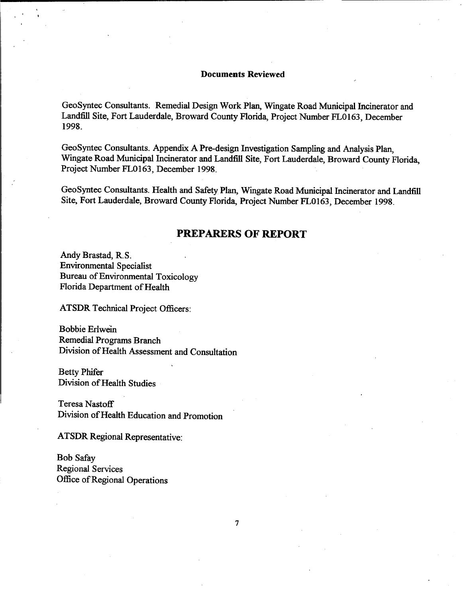#### **Documents Reviewed**

GeoSyntec Consultants. Remedial Design Work Plan, Wingate Road Municipal Incinerator and Landfill Site, Fort Lauderdale, Broward County Florida, Project Number FL0163, December 1998.

GeoSyntec Consultants. Appendix A Pre-design Investigation Sampling and Analysis Plan, Wingate Road Municipal Incinerator and Landfill Site, Fort Lauderdale, Broward County Florida, Project Number FL0163, December 1998.

GeoSyntec Consultants. Health and Safety Plan, Wingate Road Municipal Incinerator and Landfill Site, Fort Lauderdale, Broward County Florida, Project Number FL0163, December 1998.

#### **PREPARERS OF REPORT**

Andy Brastad, R.S. **Environmental Specialist Bureau of Environmental Toxicology** Florida Department of Health

**ATSDR Technical Project Officers:** 

**Bobbie Erlwein** Remedial Programs Branch Division of Health Assessment and Consultation

**Betty Phifer** Division of Health Studies

Teresa Nastoff Division of Health Education and Promotion

**ATSDR Regional Representative:** 

**Bob Safay Regional Services** Office of Regional Operations

 $\tau$